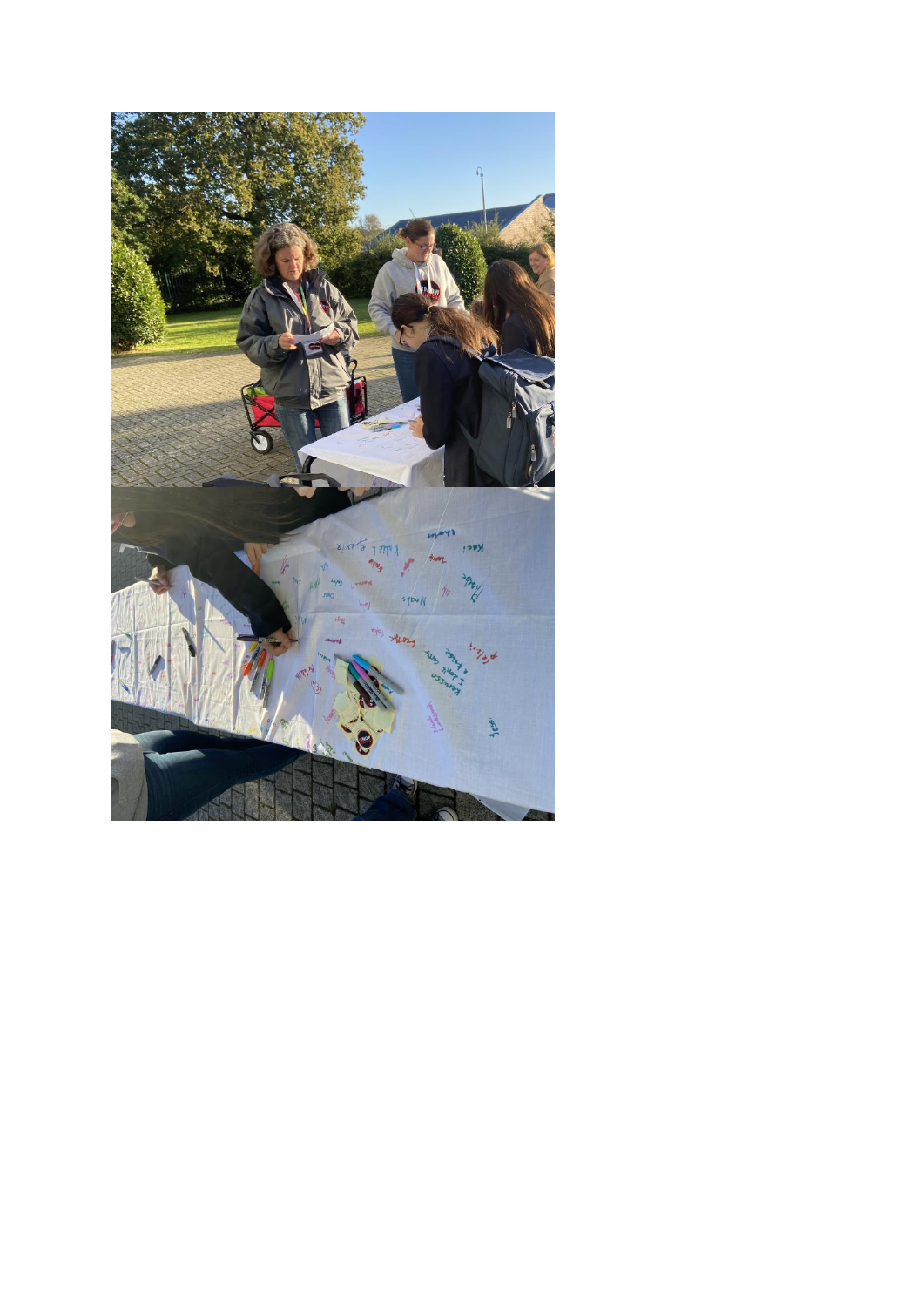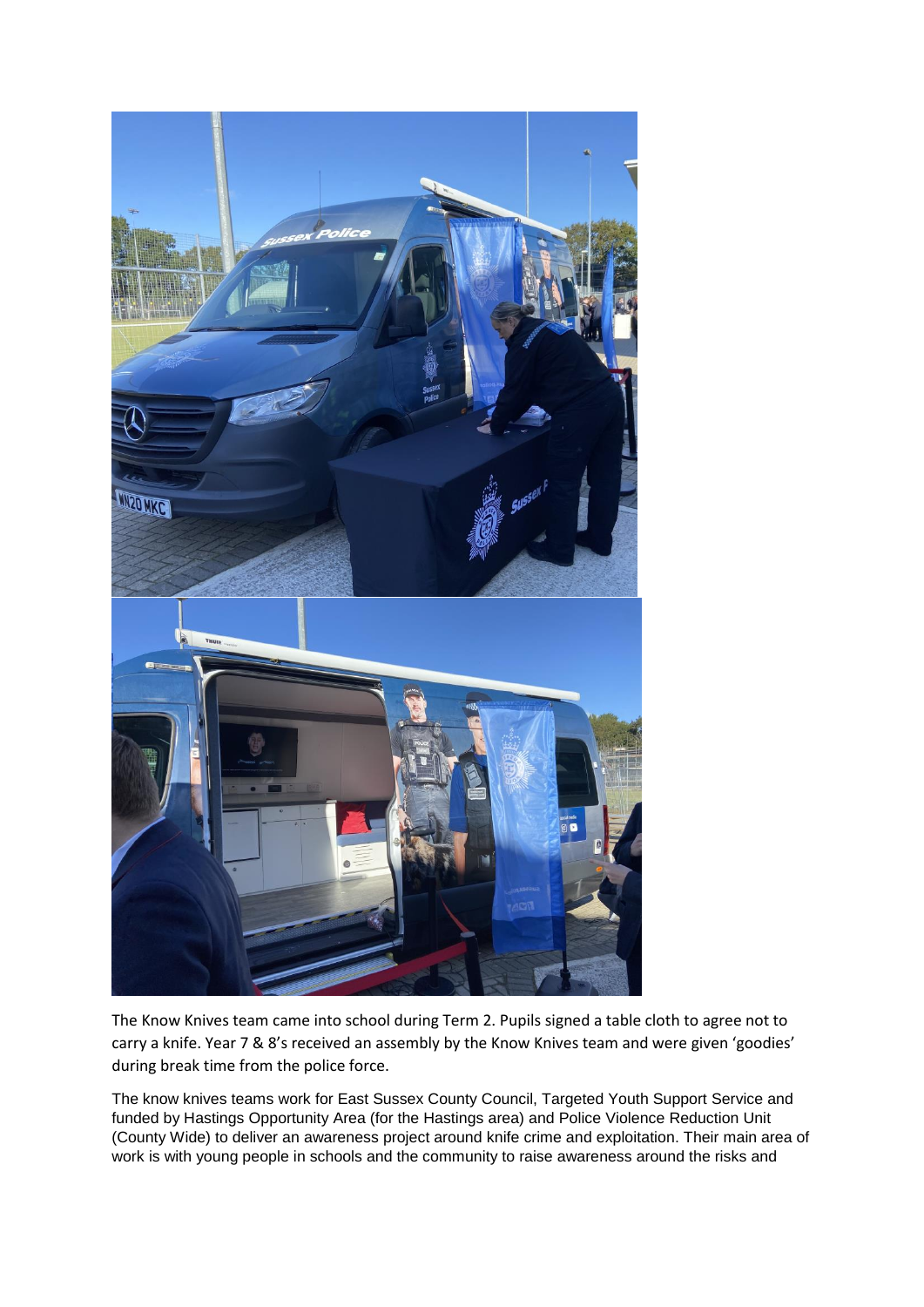

The Know Knives team came into school during Term 2. Pupils signed a table cloth to agree not to carry a knife. Year 7 & 8's received an assembly by the Know Knives team and were given 'goodies' during break time from the police force.

The know knives teams work for East Sussex County Council, Targeted Youth Support Service and funded by Hastings Opportunity Area (for the Hastings area) and Police Violence Reduction Unit (County Wide) to deliver an awareness project around knife crime and exploitation. Their main area of work is with young people in schools and the community to raise awareness around the risks and